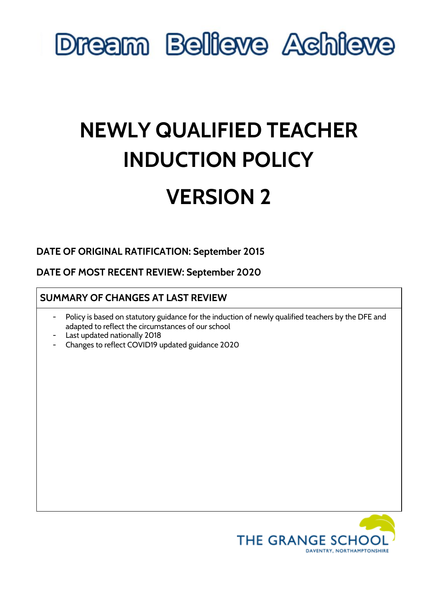

### **NEWLY QUALIFIED TEACHER INDUCTION POLICY**

### **VERSION 2**

### **DATE OF ORIGINAL RATIFICATION: September 2015**

**DATE OF MOST RECENT REVIEW: September 2020**

### **SUMMARY OF CHANGES AT LAST REVIEW**

- Policy is based on statutory guidance for the induction of newly qualified teachers by the DFE and adapted to reflect the circumstances of our school
- Last updated nationally 2018
- Changes to reflect COVID19 updated guidance 2020

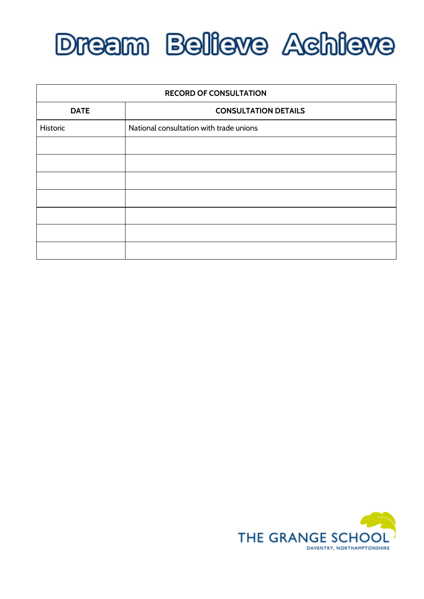

| <b>RECORD OF CONSULTATION</b> |                                         |  |
|-------------------------------|-----------------------------------------|--|
| <b>DATE</b>                   | <b>CONSULTATION DETAILS</b>             |  |
| Historic                      | National consultation with trade unions |  |
|                               |                                         |  |
|                               |                                         |  |
|                               |                                         |  |
|                               |                                         |  |
|                               |                                         |  |
|                               |                                         |  |
|                               |                                         |  |

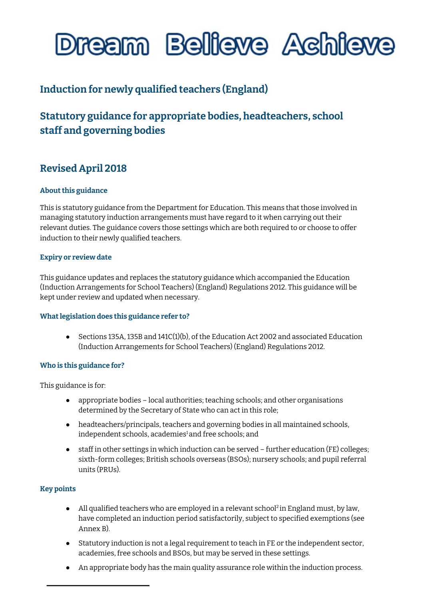

### **Induction for newly qualified teachers (England)**

### **Statutory guidance for appropriate bodies, headteachers, school staff and governing bodies**

### **Revised April 2018**

#### **About this guidance**

This is statutory guidance from the Department for Education. This means that those involved in managing statutory induction arrangements must have regard to it when carrying out their relevant duties. The guidance covers those settings which are both required to or choose to offer induction to their newly qualified teachers.

#### **Expiry or review date**

This guidance updates and replaces the statutory guidance which accompanied the Education (Induction Arrangements for School Teachers) (England) Regulations 2012. This guidance will be kept under review and updated when necessary.

#### **Whatlegislation does this guidance refer to?**

 $\bullet$  Sections 135A, 135B and 141C(1)(b), of the Education Act 2002 and associated Education (Induction Arrangements for School Teachers) (England) Regulations 2012.

#### **Who is this guidance for?**

This guidance is for:

- appropriate bodies local authorities; teaching schools; and other organisations determined by the Secretary of State who can act in this role;
- headteachers/principals, teachers and governing bodies in all maintained schools, independent schools, academies [1](#page-3-0)and free schools; and
- staff in other settings in which induction can be served further education (FE) colleges; sixth-form colleges; British schools overseas (BSOs); nursery schools; and pupil referral units (PRUs).

#### **Key points**

- All qualified teachers who are employed in a relevant school<sup>[2](#page-3-1)</sup> in England must, by law, have completed an induction period satisfactorily, subject to specified exemptions (see Annex B).
- Statutory induction is not a legal requirement to teach in FE or the independent sector, academies, free schools and BSOs, but may be served in these settings.
- An appropriate body has the main quality assurance role within the induction process.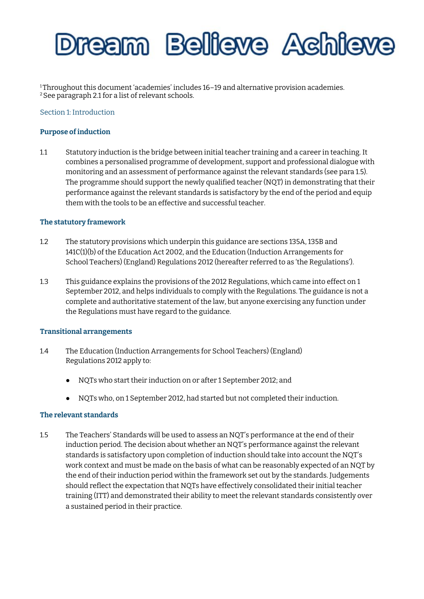

<span id="page-3-1"></span><span id="page-3-0"></span><sup>1</sup>Throughout this document 'academies' includes 16–19 and alternative provision academies. <sup>2</sup> See paragraph 2.1 for a list of relevant schools.

Section 1: Introduction

#### **Purpose ofinduction**

1.1 Statutory induction is the bridge between initial teacher training and a career in teaching. It combines a personalised programme of development, support and professional dialogue with monitoring and an assessment of performance against the relevant standards (see para 1.5). The programme should support the newly qualified teacher (NQT) in demonstrating that their performance against the relevant standards is satisfactory by the end of the period and equip them with the tools to be an effective and successful teacher.

#### **The statutory framework**

- 1.2 The statutory provisions which underpin this guidance are sections 135A, 135B and 141C(1)(b) of the Education Act 2002, and the Education (Induction Arrangements for School Teachers) (England) Regulations 2012 (hereafter referred to as 'the Regulations').
- 1.3 This guidance explains the provisions of the 2012 Regulations, which came into effect on 1 September 2012, and helps individuals to comply with the Regulations. The guidance is not a complete and authoritative statement of the law, but anyone exercising any function under the Regulations must have regard to the guidance.

#### **Transitional arrangements**

- 1.4 The Education (Induction Arrangements for School Teachers) (England) Regulations 2012 apply to:
	- NQTs who start their induction on or after 1 September 2012; and
	- NQTs who, on 1 September 2012, had started but not completed their induction.

#### **The relevant standards**

1.5 The Teachers' Standards will be used to assess an NQT's performance at the end of their induction period. The decision about whether an NQT's performance against the relevant standards is satisfactory upon completion of induction should take into account the NQT's work context and must be made on the basis of what can be reasonably expected of an NQT by the end of their induction period within the framework set out by the standards. Judgements should reflect the expectation that NQTs have effectively consolidated their initial teacher training (ITT) and demonstrated their ability to meet the relevant standards consistently over a sustained period in their practice.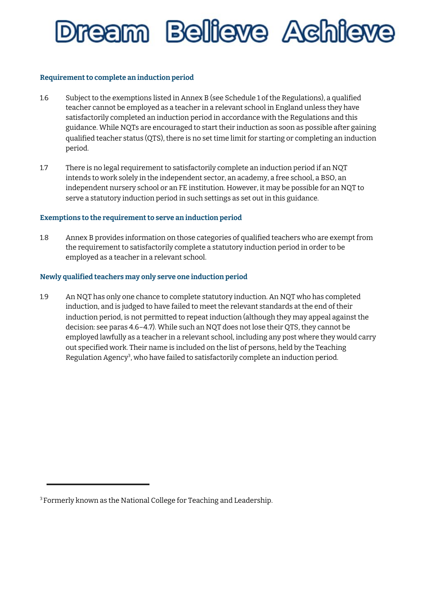### ream Belleve Achie

#### **Requirementto complete an induction period**

- 1.6 Subject to the exemptions listed in Annex B (see Schedule 1 of the Regulations), a qualified teacher cannot be employed as a teacher in a relevant school in England unless they have satisfactorily completed an induction period in accordance with the Regulations and this guidance. While NQTs are encouraged to start their induction as soon as possible after gaining qualified teacher status (QTS), there is no set time limit for starting or completing an induction period.
- 1.7 There is no legal requirement to satisfactorily complete an induction period if an NQT intends to work solely in the independent sector, an academy, a free school, a BSO, an independent nursery school or an FE institution. However, it may be possible for an NQT to serve a statutory induction period in such settings as set out in this guidance.

#### **Exemptions** to the requirement to serve an induction period

1.8 Annex B provides information on those categories of qualified teachers who are exempt from the requirement to satisfactorily complete a statutory induction period in order to be employed as a teacher in a relevant school.

#### **Newly qualified teachers may only serve one induction period**

1.9 An NQT has only one chance to complete statutory induction. An NQT who has completed induction, and is judged to have failed to meet the relevant standards at the end of their induction period, is not permitted to repeat induction (although they may appeal against the decision: see paras 4.6–4.7). While such an NQT does not lose their QTS, they cannot be employed lawfully as a teacher in a relevant school, including any post where they would carry out specified work. Their name is included on the list of persons, held by the Teaching Regulation Agency<sup>[3](#page-4-0)</sup>, who have failed to satisfactorily complete an induction period.

<span id="page-4-0"></span><sup>&</sup>lt;sup>3</sup> Formerly known as the National College for Teaching and Leadership.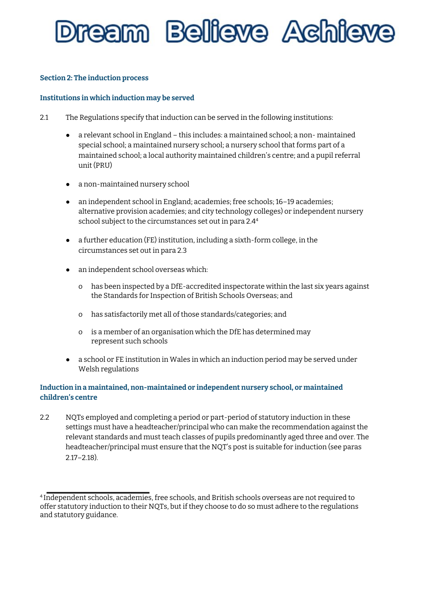## 'eam Bellieve Achie

#### **Section 2: The induction process**

#### **Institutions in which induction may be served**

- 2.1 The Regulations specify that induction can be served in the following institutions:
	- a relevant school in England this includes: a maintained school; a non- maintained special school; a maintained nursery school; a nursery school that forms part of a maintained school; a local authority maintained children's centre; and a pupil referral unit (PRU)
	- a non-maintained nursery school
	- an independent school in England; academies; free schools; 16–19 academies; alternative provision academies; and city technology colleges) or independent nursery school subject to the circumstances set out in para 2.4 [4](#page-5-0)
	- a further education (FE) institution, including a sixth-form college, in the circumstances set out in para 2.3
	- an independent school overseas which:
		- o has been inspected by a DfE-accredited inspectorate within the last six years against the Standards for Inspection of British Schools Overseas; and
		- o has satisfactorily met all of those standards/categories; and
		- o is a member of an organisation which the DfE has determined may represent such schools
	- a school or FE institution in Wales in which an induction period may be served under Welsh regulations

#### **Induction in a maintained, non-maintained or independent nursery school, or maintained children's centre**

2.2 NQTs employed and completing a period or part-period of statutory induction in these settings must have a headteacher/principal who can make the recommendation against the relevant standards and must teach classes of pupils predominantly aged three and over. The headteacher/principal must ensure that the NQT's post is suitable for induction (see paras 2.17–2.18).

<span id="page-5-0"></span><sup>4</sup> Independent schools, academies, free schools, and British schools overseas are not required to offer statutory induction to their NQTs, but if they choose to do so must adhere to the regulations and statutory guidance.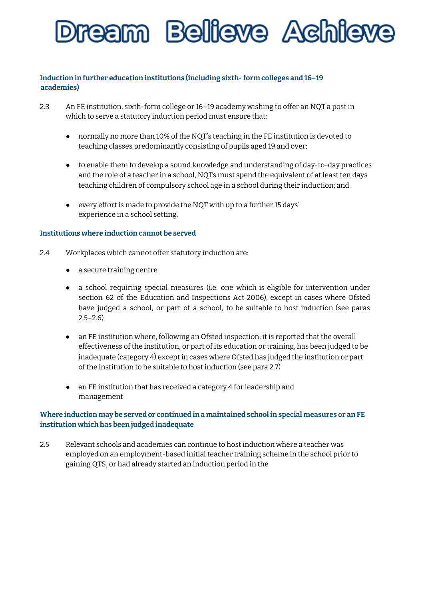

#### **Induction in further education institutions (including sixth- form colleges and 16–19 academies)**

- 2.3 An FE institution, sixth-form college or 16–19 academy wishing to offer an NQT a post in which to serve a statutory induction period must ensure that:
	- normally no more than 10% of the NQT's teaching in the FE institution is devoted to teaching classes predominantly consisting of pupils aged 19 and over;
	- to enable them to develop a sound knowledge and understanding of day-to-day practices and the role of a teacher in a school, NQTs must spend the equivalent of at least ten days teaching children of compulsory school age in a school during their induction; and
	- every effort is made to provide the NQT with up to a further 15 days' experience in a school setting.

#### **Institutions where induction cannot be served**

- 2.4 Workplaces which cannot offer statutory induction are:
	- a secure training centre
	- a school requiring special measures (i.e. one which is eligible for intervention under section 62 of the Education and Inspections Act 2006), except in cases where Ofsted have judged a school, or part of a school, to be suitable to host induction (see paras  $2.5 - 2.6$
	- an FE institution where, following an Ofsted inspection, it is reported that the overall effectiveness of the institution, or part of its education or training, has been judged to be inadequate (category 4) except in cases where Ofsted has judged the institution or part of the institution to be suitable to host induction (see para 2.7)
	- an FE institution that has received a category 4 for leadership and management

#### **Where induction may be served or continued in a maintained school in special measures or an FE institution which has been judged inadequate**

2.5 Relevant schools and academies can continue to host induction where a teacher was employed on an employment-based initial teacher training scheme in the school prior to gaining QTS, or had already started an induction period in the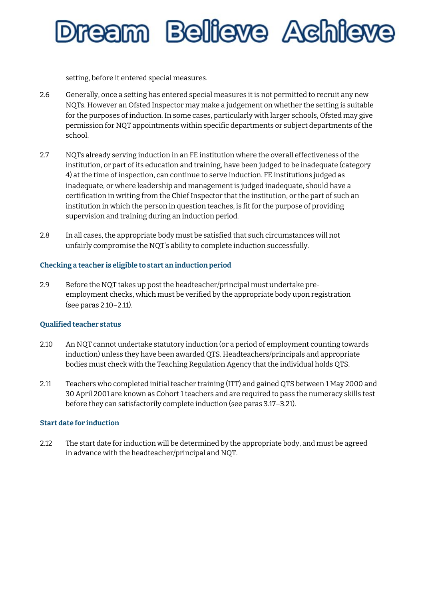

setting, before it entered special measures.

- 2.6 Generally, once a setting has entered special measures it is not permitted to recruit any new NQTs. However an Ofsted Inspector may make a judgement on whether the setting is suitable for the purposes of induction. In some cases, particularly with larger schools, Ofsted may give permission for NQT appointments within specific departments or subject departments of the school.
- 2.7 NQTs already serving induction in an FE institution where the overall effectiveness of the institution, or part of its education and training, have been judged to be inadequate (category 4) at the time of inspection, can continue to serve induction. FE institutions judged as inadequate, or where leadership and management is judged inadequate, should have a certification in writing from the Chief Inspector that the institution, or the part of such an institution in which the person in question teaches, is fit for the purpose of providing supervision and training during an induction period.
- 2.8 In all cases, the appropriate body must be satisfied that such circumstances will not unfairly compromise the NQT's ability to complete induction successfully.

#### **Checking a teacher is eligible to start an induction period**

2.9 Before the NQT takes up post the headteacher/principal must undertake preemployment checks, which must be verified by the appropriate body upon registration (see paras 2.10–2.11).

#### **Qualified teacher status**

- 2.10 An NQT cannot undertake statutory induction (or a period of employment counting towards induction) unless they have been awarded QTS. Headteachers/principals and appropriate bodies must check with the Teaching Regulation Agency that the individual holds QTS.
- 2.11 Teachers who completed initial teacher training (ITT) and gained QTS between 1 May 2000 and 30 April 2001 are known as Cohort 1 teachers and are required to pass the numeracy skills test before they can satisfactorily complete induction (see paras 3.17–3.21).

#### **Start date for induction**

2.12 The start date for induction will be determined by the appropriate body, and must be agreed in advance with the headteacher/principal and NQT.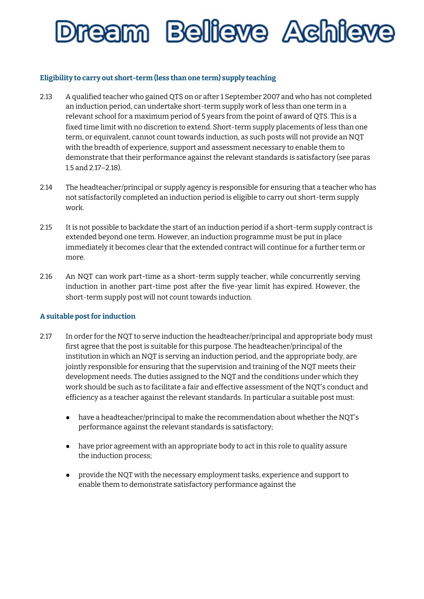### ream Believe Achie

#### **Eligibility to carry out short-term (less than one term) supply teaching**

- 2.13 A qualified teacher who gained QTS on or after 1 September 2007 and who has not completed an induction period, can undertake short-term supply work of less than one term in a relevant school for a maximum period of 5 years from the point of award of QTS. This is a fixed time limit with no discretion to extend. Short-term supply placements of less than one term, or equivalent, cannot count towards induction, as such posts will not provide an NQT with the breadth of experience, support and assessment necessary to enable them to demonstrate that their performance against the relevant standards is satisfactory (see paras 1.5 and 2.17–2.18).
- 2.14 The headteacher/principal or supply agency is responsible for ensuring that a teacher who has not satisfactorily completed an induction period is eligible to carry out short-term supply work.
- 2.15 It is not possible to backdate the start of an induction period if a short-term supply contract is extended beyond one term. However, an induction programme must be put in place immediately it becomes clear that the extended contract will continue for a further term or more.
- 2.16 An NQT can work part-time as a short-term supply teacher, while concurrently serving induction in another part-time post after the five-year limit has expired. However, the short-term supply post will not count towards induction.

#### **A suitable postfor induction**

- 2.17 In order for the NQT to serve induction the headteacher/principal and appropriate body must first agree that the post is suitable for this purpose. The headteacher/principal of the institution in which an NQT is serving an induction period, and the appropriate body, are jointly responsible for ensuring that the supervision and training of the NQT meets their development needs. The duties assigned to the NQT and the conditions under which they work should be such as to facilitate a fair and effective assessment of the NQT's conduct and efficiency as a teacher against the relevant standards. In particular a suitable post must:
	- have a headteacher/principal to make the recommendation about whether the NQT's performance against the relevant standards is satisfactory;
	- have prior agreement with an appropriate body to act in this role to quality assure the induction process;
	- provide the NQT with the necessary employment tasks, experience and support to enable them to demonstrate satisfactory performance against the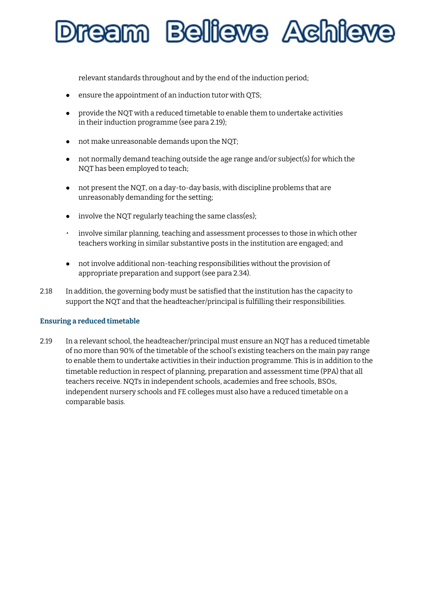'eam Bellieve Achie

relevant standards throughout and by the end of the induction period;

- ensure the appointment of an induction tutor with QTS;
- provide the NQT with a reduced timetable to enable them to undertake activities in their induction programme (see para 2.19);
- not make unreasonable demands upon the NQT;
- not normally demand teaching outside the age range and/or subject(s) for which the NQT has been employed to teach;
- not present the NQT, on a day-to-day basis, with discipline problems that are unreasonably demanding for the setting;
- involve the NQT regularly teaching the same class(es);
- involve similar planning, teaching and assessment processes to those in which other teachers working in similar substantive posts in the institution are engaged; and
- not involve additional non-teaching responsibilities without the provision of appropriate preparation and support (see para 2.34).
- 2.18 In addition, the governing body must be satisfied that the institution has the capacity to support the NQT and that the headteacher/principal is fulfilling their responsibilities.

#### **Ensuring a reduced timetable**

2.19 In a relevant school, the headteacher/principal must ensure an NQT has a reduced timetable of no more than 90% of the timetable of the school's existing teachers on the main pay range to enable them to undertake activities in their induction programme. This is in addition to the timetable reduction in respect of planning, preparation and assessment time (PPA) that all teachers receive. NQTs in independent schools, academies and free schools, BSOs, independent nursery schools and FE colleges must also have a reduced timetable on a comparable basis.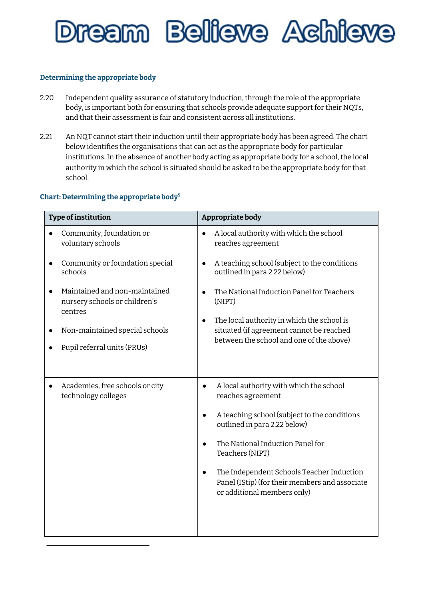

#### **Determining the appropriate body**

- 2.20 Independent quality assurance of statutory induction, through the role of the appropriate body, is important both for ensuring that schools provide adequate support for their NQTs, and that their assessment is fair and consistent across all institutions.
- 2.21 An NQT cannot start their induction until their appropriate body has been agreed. The chart below identifies the organisations that can act as the appropriate body for particular institutions. In the absence of another body acting as appropriate body for a school, the local authority in which the school is situated should be asked to be the appropriate body for that school.

#### **Chart: Determining the appropriate body [5](#page-11-0)**

| <b>Type of institution</b>                                                | Appropriate body                                                                                                                                |
|---------------------------------------------------------------------------|-------------------------------------------------------------------------------------------------------------------------------------------------|
| Community, foundation or<br>voluntary schools                             | A local authority with which the school<br>$\bullet$<br>reaches agreement                                                                       |
| Community or foundation special<br>schools                                | A teaching school (subject to the conditions<br>outlined in para 2.22 below)                                                                    |
| Maintained and non-maintained<br>nursery schools or children's<br>centres | The National Induction Panel for Teachers<br>(NIPT)                                                                                             |
| Non-maintained special schools<br>Pupil referral units (PRUs)             | The local authority in which the school is<br>$\bullet$<br>situated (if agreement cannot be reached<br>between the school and one of the above) |
|                                                                           |                                                                                                                                                 |
| Academies, free schools or city<br>technology colleges                    | A local authority with which the school<br>reaches agreement                                                                                    |
|                                                                           | A teaching school (subject to the conditions<br>outlined in para 2.22 below)                                                                    |
|                                                                           | The National Induction Panel for<br>Teachers (NIPT)                                                                                             |
|                                                                           | The Independent Schools Teacher Induction<br>Panel (IStip) (for their members and associate<br>or additional members only)                      |
|                                                                           |                                                                                                                                                 |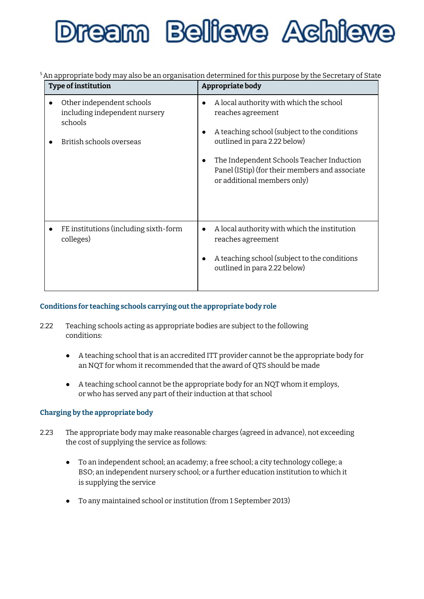# eam Bellieve Achie

<span id="page-11-0"></span><sup>5</sup>An appropriate body may also be an organisation determined for this purpose by the Secretary of State

| Type of institution                                                                               | Appropriate body                                                                                                                                                                                                                                                           |
|---------------------------------------------------------------------------------------------------|----------------------------------------------------------------------------------------------------------------------------------------------------------------------------------------------------------------------------------------------------------------------------|
| Other independent schools<br>including independent nursery<br>schools<br>British schools overseas | A local authority with which the school<br>reaches agreement<br>A teaching school (subject to the conditions<br>outlined in para 2.22 below)<br>The Independent Schools Teacher Induction<br>Panel (IStip) (for their members and associate<br>or additional members only) |
| FE institutions (including sixth-form<br>colleges)                                                | A local authority with which the institution<br>reaches agreement<br>A teaching school (subject to the conditions<br>outlined in para 2.22 below)                                                                                                                          |

#### **Conditions for teaching schools carrying outthe appropriate body role**

- 2.22 Teaching schools acting as appropriate bodies are subject to the following conditions:
	- A teaching school that is an accredited ITT provider cannot be the appropriate body for an NQT for whom it recommended that the award of QTS should be made
	- A teaching school cannot be the appropriate body for an NQT whom it employs, or who has served any part of their induction at that school

#### **Charging by the appropriate body**

- 2.23 The appropriate body may make reasonable charges (agreed in advance), not exceeding the cost of supplying the service as follows:
	- To an independent school; an academy; a free school; a city technology college; a BSO; an independent nursery school; or a further education institution to which it is supplying the service
	- To any maintained school or institution (from 1 September 2013)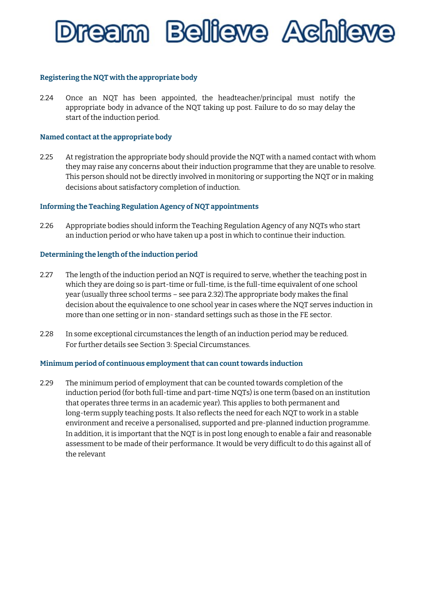

#### **Registering the NQT with the appropriate body**

2.24 Once an NQT has been appointed, the headteacher/principal must notify the appropriate body in advance of the NQT taking up post. Failure to do so may delay the start of the induction period.

#### **Named contact atthe appropriate body**

2.25 At registration the appropriate body should provide the NQT with a named contact with whom they may raise any concerns about their induction programme that they are unable to resolve. This person should not be directly involved in monitoring or supporting the NQT or in making decisions about satisfactory completion of induction.

#### **Informing the Teaching Regulation Agency of NQT appointments**

2.26 Appropriate bodies should inform the Teaching Regulation Agency of any NQTs who start an induction period or who have taken up a post in which to continue their induction.

#### **Determining the length ofthe induction period**

- 2.27 The length of the induction period an NQT is required to serve, whether the teaching post in which they are doing so is part-time or full-time, is the full-time equivalent of one school year (usually three school terms – see para 2.32).The appropriate body makes the final decision about the equivalence to one school year in cases where the NQT serves induction in more than one setting or in non- standard settings such as those in the FE sector.
- 2.28 In some exceptional circumstances the length of an induction period may be reduced. For further details see Section 3: Special Circumstances.

#### **Minimum period of continuous employmentthat can counttowards induction**

2.29 The minimum period of employment that can be counted towards completion of the induction period (for both full-time and part-time NQTs) is one term (based on an institution that operates three terms in an academic year). This applies to both permanent and long-term supply teaching posts. It also reflects the need for each NQT to work in a stable environment and receive a personalised, supported and pre-planned induction programme. In addition, it is important that the NQT is in post long enough to enable a fair and reasonable assessment to be made of their performance. It would be very difficult to do this against all of the relevant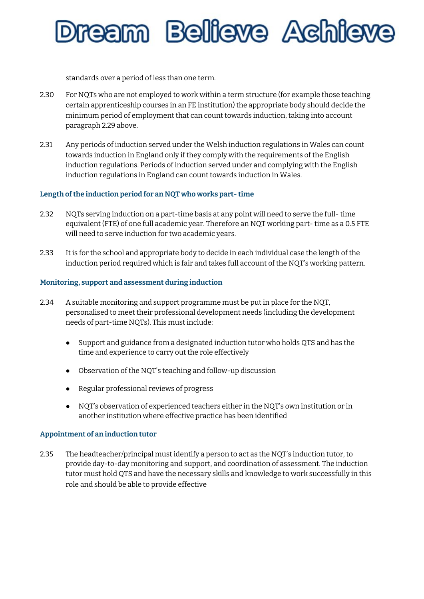### 'eam Bellieve Achie

standards over a period of less than one term.

- 2.30 For NQTs who are not employed to work within a term structure (for example those teaching certain apprenticeship courses in an FE institution) the appropriate body should decide the minimum period of employment that can count towards induction, taking into account paragraph 2.29 above.
- 2.31 Any periods of induction served under the Welsh induction regulations in Wales can count towards induction in England only if they comply with the requirements of the English induction regulations. Periods of induction served under and complying with the English induction regulations in England can count towards induction in Wales.

#### **Length ofthe induction period for an NQT who works part- time**

- 2.32 NQTs serving induction on a part-time basis at any point will need to serve the full- time equivalent (FTE) of one full academic year. Therefore an NQT working part- time as a 0.5 FTE will need to serve induction for two academic years.
- 2.33 It is for the school and appropriate body to decide in each individual case the length of the induction period required which is fair and takes full account of the NQT's working pattern.

#### **Monitoring, support and assessment during induction**

- 2.34 A suitable monitoring and support programme must be put in place for the NQT, personalised to meet their professional development needs (including the development needs of part-time NQTs). This must include:
	- Support and guidance from a designated induction tutor who holds QTS and has the time and experience to carry out the role effectively
	- Observation of the NQT's teaching and follow-up discussion
	- Regular professional reviews of progress
	- NQT's observation of experienced teachers either in the NQT's own institution or in another institution where effective practice has been identified

#### **Appointment of an induction tutor**

2.35 The headteacher/principal must identify a person to act as the NQT's induction tutor, to provide day-to-day monitoring and support, and coordination of assessment. The induction tutor must hold QTS and have the necessary skills and knowledge to work successfully in this role and should be able to provide effective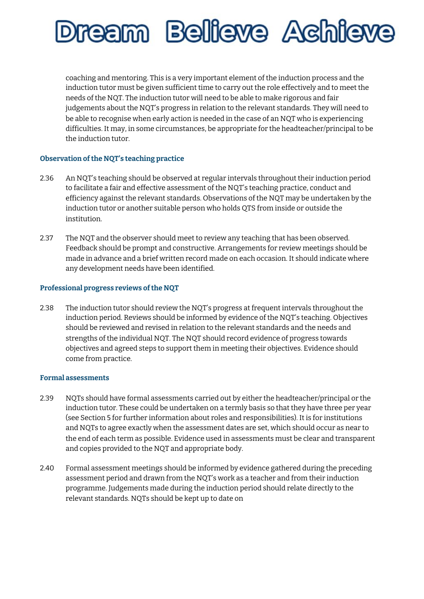

coaching and mentoring. This is a very important element of the induction process and the induction tutor must be given sufficient time to carry out the role effectively and to meet the needs of the NQT. The induction tutor will need to be able to make rigorous and fair judgements about the NQT's progress in relation to the relevant standards. They will need to be able to recognise when early action is needed in the case of an NQT who is experiencing difficulties. It may, in some circumstances, be appropriate for the headteacher/principal to be the induction tutor.

#### **Observation ofthe NQT's teaching practice**

- 2.36 An NQT's teaching should be observed at regular intervals throughout their induction period to facilitate a fair and effective assessment of the NQT's teaching practice, conduct and efficiency against the relevant standards. Observations of the NQT may be undertaken by the induction tutor or another suitable person who holds QTS from inside or outside the institution.
- 2.37 The NQT and the observer should meet to review any teaching that has been observed. Feedback should be prompt and constructive. Arrangements for review meetings should be made in advance and a brief written record made on each occasion. It should indicate where any development needs have been identified.

#### **Professional progress reviews ofthe NQT**

2.38 The induction tutor should review the NQT's progress at frequent intervals throughout the induction period. Reviews should be informed by evidence of the NQT's teaching. Objectives should be reviewed and revised in relation to the relevant standards and the needs and strengths of the individual NQT. The NQT should record evidence of progress towards objectives and agreed steps to support them in meeting their objectives. Evidence should come from practice.

#### **Formal assessments**

- 2.39 NQTs should have formal assessments carried out by either the headteacher/principal or the induction tutor. These could be undertaken on a termly basis so that they have three per year (see Section 5 for further information about roles and responsibilities). It is for institutions and NQTs to agree exactly when the assessment dates are set, which should occur as near to the end of each term as possible. Evidence used in assessments must be clear and transparent and copies provided to the NQT and appropriate body.
- 2.40 Formal assessment meetings should be informed by evidence gathered during the preceding assessment period and drawn from the NQT's work as a teacher and from their induction programme. Judgements made during the induction period should relate directly to the relevant standards. NQTs should be kept up to date on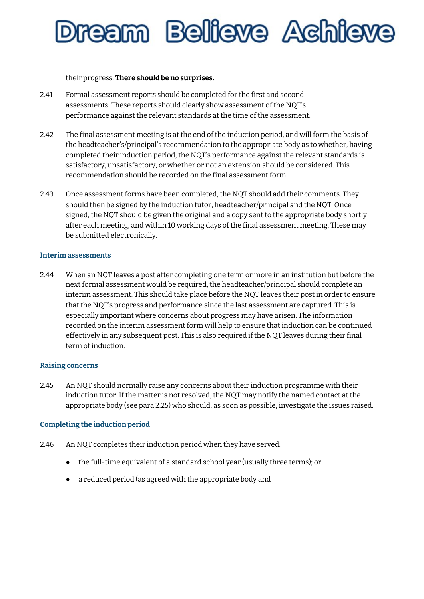## ream Belleve Achie

their progress. **There should be no surprises.**

- 2.41 Formal assessment reports should be completed for the first and second assessments. These reports should clearly show assessment of the NQT's performance against the relevant standards at the time of the assessment.
- 2.42 The final assessment meeting is at the end of the induction period, and will form the basis of the headteacher's/principal's recommendation to the appropriate body as to whether, having completed their induction period, the NQT's performance against the relevant standards is satisfactory, unsatisfactory, or whether or not an extension should be considered. This recommendation should be recorded on the final assessment form.
- 2.43 Once assessment forms have been completed, the NQT should add their comments. They should then be signed by the induction tutor, headteacher/principal and the NQT. Once signed, the NQT should be given the original and a copy sent to the appropriate body shortly after each meeting, and within 10 working days of the final assessment meeting. These may be submitted electronically.

#### **Interim assessments**

2.44 When an NQT leaves a post after completing one term or more in an institution but before the next formal assessment would be required, the headteacher/principal should complete an interim assessment. This should take place before the NQT leaves their post in order to ensure that the NQT's progress and performance since the last assessment are captured. This is especially important where concerns about progress may have arisen. The information recorded on the interim assessment form will help to ensure that induction can be continued effectively in any subsequent post. This is also required if the NQT leaves during their final term of induction.

#### **Raising concerns**

2.45 An NQT should normally raise any concerns about their induction programme with their induction tutor. If the matter is not resolved, the NQT may notify the named contact at the appropriate body (see para 2.25) who should, as soon as possible, investigate the issues raised.

#### **Completing the induction period**

- 2.46 An NQT completes their induction period when they have served:
	- the full-time equivalent of a standard school year (usually three terms); or
	- a reduced period (as agreed with the appropriate body and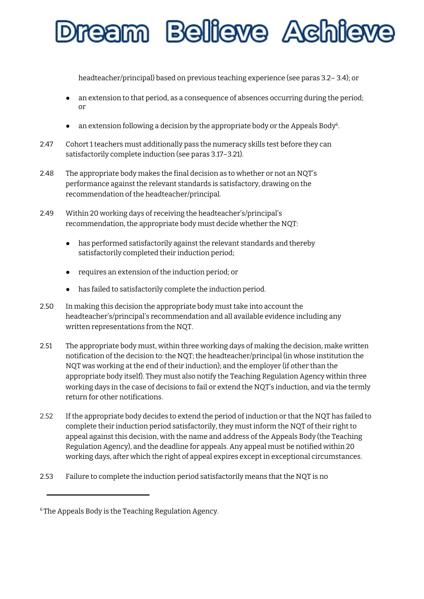'eam Bellieve Achie

headteacher/principal) based on previous teaching experience (see paras 3.2– 3.4); or

- an extension to that period, as a consequence of absences occurring during the period; or
- $\bullet$  an extension following a decision by the appropriate body or the Appeals Body<sup>[6](#page-16-0)</sup>.
- 2.47 Cohort 1 teachers must additionally pass the numeracy skills test before they can satisfactorily complete induction (see paras 3.17–3.21).
- 2.48 The appropriate body makes the final decision as to whether or not an NQT's performance against the relevant standards is satisfactory, drawing on the recommendation of the headteacher/principal.
- 2.49 Within 20 working days of receiving the headteacher's/principal's recommendation, the appropriate body must decide whether the NQT:
	- has performed satisfactorily against the relevant standards and thereby satisfactorily completed their induction period;
	- requires an extension of the induction period; or
	- has failed to satisfactorily complete the induction period.
- 2.50 In making this decision the appropriate body must take into account the headteacher's/principal's recommendation and all available evidence including any written representations from the NQT.
- 2.51 The appropriate body must, within three working days of making the decision, make written notification of the decision to: the NQT; the headteacher/principal (in whose institution the NQT was working at the end of their induction); and the employer (if other than the appropriate body itself). They must also notify the Teaching Regulation Agency within three working days in the case of decisions to fail or extend the NQT's induction, and via the termly return for other notifications.
- 2.52 If the appropriate body decides to extend the period of induction or that the NQT has failed to complete their induction period satisfactorily, they must inform the NQT of their right to appeal against this decision, with the name and address of the Appeals Body (the Teaching Regulation Agency), and the deadline for appeals. Any appeal must be notified within 20 working days, after which the right of appeal expires except in exceptional circumstances.
- 2.53 Failure to complete the induction period satisfactorily means that the NQT is no

<span id="page-16-0"></span><sup>&</sup>lt;sup>6</sup> The Appeals Body is the Teaching Regulation Agency.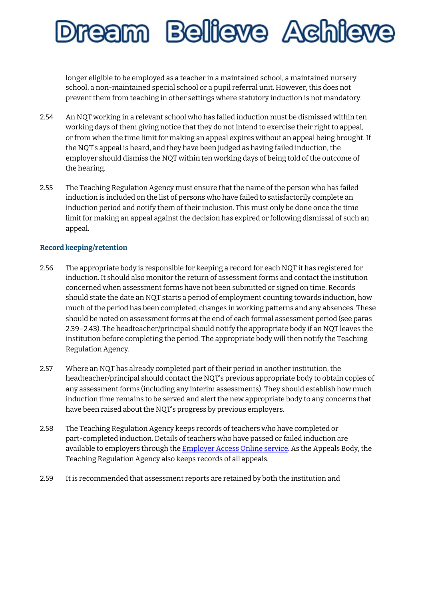### ream Believe Achie

longer eligible to be employed as a teacher in a maintained school, a maintained nursery school, a non-maintained special school or a pupil referral unit. However, this does not prevent them from teaching in other settings where statutory induction is not mandatory.

- 2.54 An NQT working in a relevant school who has failed induction must be dismissed within ten working days of them giving notice that they do not intend to exercise their right to appeal, or from when the time limit for making an appeal expires without an appeal being brought. If the NQT's appeal is heard, and they have been judged as having failed induction, the employer should dismiss the NQT within ten working days of being told of the outcome of the hearing.
- 2.55 The Teaching Regulation Agency must ensure that the name of the person who has failed induction is included on the list of persons who have failed to satisfactorily complete an induction period and notify them of their inclusion. This must only be done once the time limit for making an appeal against the decision has expired or following dismissal of such an appeal.

#### **Record keeping/retention**

- 2.56 The appropriate body is responsible for keeping a record for each NQT it has registered for induction. It should also monitor the return of assessment forms and contact the institution concerned when assessment forms have not been submitted or signed on time. Records should state the date an NQT starts a period of employment counting towards induction, how much of the period has been completed, changes in working patterns and any absences. These should be noted on assessment forms at the end of each formal assessment period (see paras 2.39–2.43). The headteacher/principal should notify the appropriate body if an NQT leaves the institution before completing the period. The appropriate body will then notify the Teaching Regulation Agency.
- 2.57 Where an NQT has already completed part of their period in another institution, the headteacher/principal should contact the NQT's previous appropriate body to obtain copies of any assessment forms (including any interim assessments). They should establish how much induction time remains to be served and alert the new appropriate body to any concerns that have been raised about the NQT's progress by previous employers.
- 2.58 The Teaching Regulation Agency keeps records of teachers who have completed or part-completed induction. Details of teachers who have passed or failed induction are available to employers through the [Employer](http://www.gov.uk/teacher-status-checks-information-for-employers) Access Online service. As the Appeals Body, the Teaching Regulation Agency also keeps records of all appeals.
- 2.59 It is recommended that assessment reports are retained by both the institution and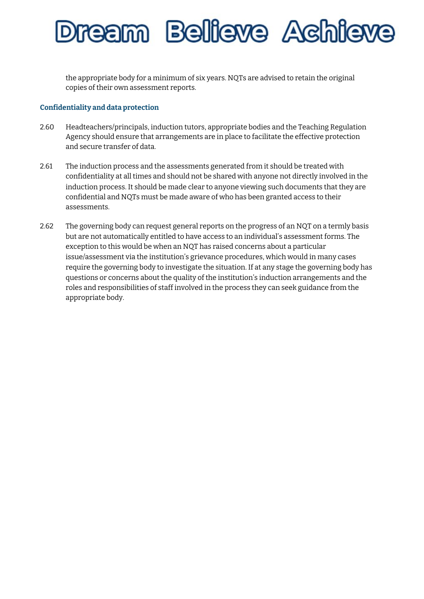### ream Believe Achie

the appropriate body for a minimum of six years. NQTs are advised to retain the original copies of their own assessment reports.

#### **Confidentiality and data protection**

- 2.60 Headteachers/principals, induction tutors, appropriate bodies and the Teaching Regulation Agency should ensure that arrangements are in place to facilitate the effective protection and secure transfer of data.
- 2.61 The induction process and the assessments generated from it should be treated with confidentiality at all times and should not be shared with anyone not directly involved in the induction process. It should be made clear to anyone viewing such documents that they are confidential and NQTs must be made aware of who has been granted access to their assessments.
- 2.62 The governing body can request general reports on the progress of an NQT on a termly basis but are not automatically entitled to have access to an individual's assessment forms. The exception to this would be when an NQT has raised concerns about a particular issue/assessment via the institution's grievance procedures, which would in many cases require the governing body to investigate the situation. If at any stage the governing body has questions or concerns about the quality of the institution's induction arrangements and the roles and responsibilities of staff involved in the process they can seek guidance from the appropriate body.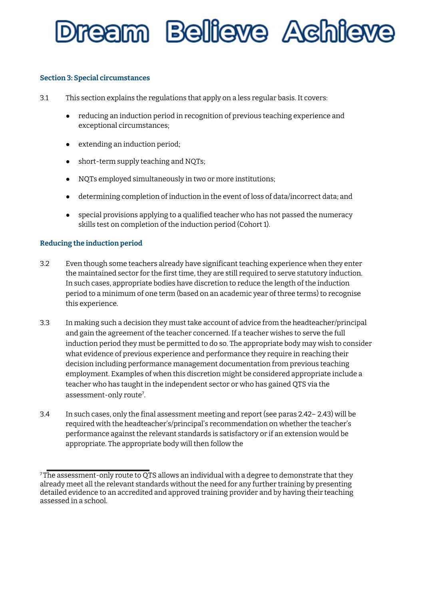

#### **Section 3: Special circumstances**

- 3.1 This section explains the regulations that apply on a less regular basis. It covers:
	- reducing an induction period in recognition of previous teaching experience and exceptional circumstances;
	- extending an induction period;
	- short-term supply teaching and NQTs;
	- NQTs employed simultaneously in two or more institutions;
	- determining completion of induction in the event of loss of data/incorrect data; and
	- special provisions applying to a qualified teacher who has not passed the numeracy skills test on completion of the induction period (Cohort 1).

#### **Reducing the induction period**

- 3.2 Even though some teachers already have significant teaching experience when they enter the maintained sector for the first time, they are still required to serve statutory induction. In such cases, appropriate bodies have discretion to reduce the length of the induction period to a minimum of one term (based on an academic year of three terms) to recognise this experience.
- 3.3 In making such a decision they must take account of advice from the headteacher/principal and gain the agreement of the teacher concerned. If a teacher wishes to serve the full induction period they must be permitted to do so. The appropriate body may wish to consider what evidence of previous experience and performance they require in reaching their decision including performance management documentation from previous teaching employment. Examples of when this discretion might be considered appropriate include a teacher who has taught in the independent sector or who has gained QTS via the assessment-only route<sup>[7](#page-19-0)</sup>.
- 3.4 In such cases, only the final assessment meeting and report (see paras 2.42– 2.43) will be required with the headteacher's/principal's recommendation on whether the teacher's performance against the relevant standards is satisfactory or if an extension would be appropriate. The appropriate body will then follow the

<span id="page-19-0"></span> $7$ The assessment-only route to QTS allows an individual with a degree to demonstrate that they already meet all the relevant standards without the need for any further training by presenting detailed evidence to an accredited and approved training provider and by having their teaching assessed in a school.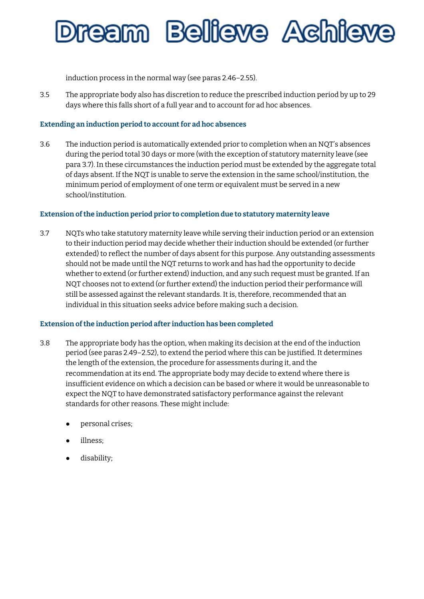## ream Believe Achieve

induction process in the normal way (see paras 2.46–2.55).

3.5 The appropriate body also has discretion to reduce the prescribed induction period by up to 29 days where this falls short of a full year and to account for ad hoc absences.

#### **Extending an induction period to accountfor ad hoc absences**

3.6 The induction period is automatically extended prior to completion when an NQT's absences during the period total 30 days or more (with the exception of statutory maternity leave (see para 3.7). In these circumstances the induction period must be extended by the aggregate total of days absent. If the NQT is unable to serve the extension in the same school/institution, the minimum period of employment of one term or equivalent must be served in a new school/institution.

#### **Extension ofthe induction period prior to completion due to statutory maternity leave**

3.7 NQTs who take statutory maternity leave while serving their induction period or an extension to their induction period may decide whether their induction should be extended (or further extended) to reflect the number of days absent for this purpose. Any outstanding assessments should not be made until the NQT returns to work and has had the opportunity to decide whether to extend (or further extend) induction, and any such request must be granted. If an NQT chooses not to extend (or further extend) the induction period their performance will still be assessed against the relevant standards. It is, therefore, recommended that an individual in this situation seeks advice before making such a decision.

#### **Extension ofthe induction period after induction has been completed**

- 3.8 The appropriate body has the option, when making its decision at the end of the induction period (see paras 2.49–2.52), to extend the period where this can be justified. It determines the length of the extension, the procedure for assessments during it, and the recommendation at its end. The appropriate body may decide to extend where there is insufficient evidence on which a decision can be based or where it would be unreasonable to expect the NQT to have demonstrated satisfactory performance against the relevant standards for other reasons. These might include:
	- personal crises;
	- illness;
	- disability;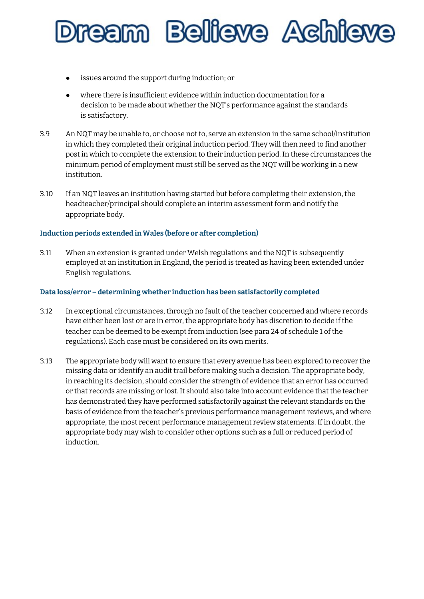## ream Believe Achie

- issues around the support during induction; or
- where there is insufficient evidence within induction documentation for a decision to be made about whether the NQT's performance against the standards is satisfactory.
- 3.9 An NQT may be unable to, or choose not to, serve an extension in the same school/institution in which they completed their original induction period. They will then need to find another post in which to complete the extension to their induction period. In these circumstances the minimum period of employment must still be served as the NQT will be working in a new institution.
- 3.10 If an NQT leaves an institution having started but before completing their extension, the headteacher/principal should complete an interim assessment form and notify the appropriate body.

#### **Induction periods extended in Wales (before or after completion)**

3.11 When an extension is granted under Welsh regulations and the NQT is subsequently employed at an institution in England, the period is treated as having been extended under English regulations.

#### **Data loss/error – determining whether induction has been satisfactorily completed**

- 3.12 In exceptional circumstances, through no fault of the teacher concerned and where records have either been lost or are in error, the appropriate body has discretion to decide if the teacher can be deemed to be exempt from induction (see para 24 of schedule 1 of the regulations). Each case must be considered on its own merits.
- 3.13 The appropriate body will want to ensure that every avenue has been explored to recover the missing data or identify an audit trail before making such a decision. The appropriate body, in reaching its decision, should consider the strength of evidence that an error has occurred or that records are missing or lost. It should also take into account evidence that the teacher has demonstrated they have performed satisfactorily against the relevant standards on the basis of evidence from the teacher's previous performance management reviews, and where appropriate, the most recent performance management review statements. If in doubt, the appropriate body may wish to consider other options such as a full or reduced period of induction.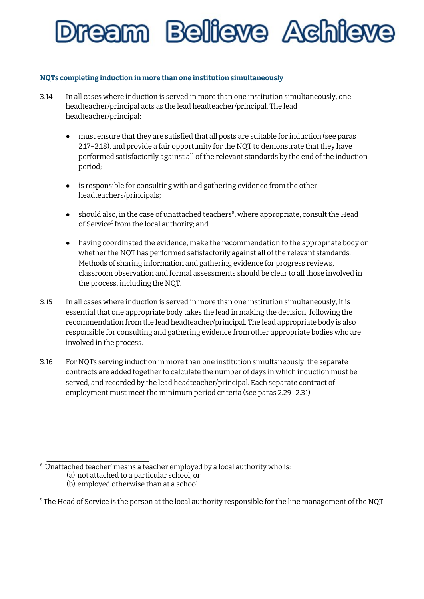### ream Bellieve Achie

#### **NQTs completing induction in more than one institution simultaneously**

- 3.14 In all cases where induction is served in more than one institution simultaneously, one headteacher/principal acts as the lead headteacher/principal. The lead headteacher/principal:
	- must ensure that they are satisfied that all posts are suitable for induction (see paras 2.17–2.18), and provide a fair opportunity for the NQT to demonstrate that they have performed satisfactorily against all of the relevant standards by the end of the induction period;
	- is responsible for consulting with and gathering evidence from the other headteachers/principals;
	- should also, in the case of unattached teachers<sup>[8](#page-22-0)</sup>, where appropriate, consult the Head of Service [9](#page-22-1) from the local authority; and
	- having coordinated the evidence, make the recommendation to the appropriate body on whether the NQT has performed satisfactorily against all of the relevant standards. Methods of sharing information and gathering evidence for progress reviews, classroom observation and formal assessments should be clear to all those involved in the process, including the NQT.
- 3.15 In all cases where induction is served in more than one institution simultaneously, it is essential that one appropriate body takes the lead in making the decision, following the recommendation from the lead headteacher/principal. The lead appropriate body is also responsible for consulting and gathering evidence from other appropriate bodies who are involved in the process.
- 3.16 For NQTs serving induction in more than one institution simultaneously, the separate contracts are added together to calculate the number of days in which induction must be served, and recorded by the lead headteacher/principal. Each separate contract of employment must meet the minimum period criteria (see paras 2.29–2.31).

<span id="page-22-0"></span><sup>8</sup> 'Unattached teacher' means a teacher employed by a local authority who is:

<sup>(</sup>a) not attached to a particular school, or

<sup>(</sup>b) employed otherwise than at a school.

<span id="page-22-1"></span><sup>&</sup>lt;sup>9</sup> The Head of Service is the person at the local authority responsible for the line management of the NQT.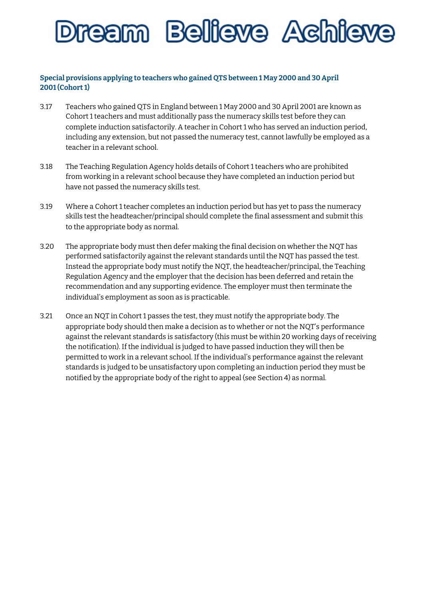

#### **Special provisions applying to teachers who gained QTS between 1 May 2000 and 30 April 2001 (Cohort 1)**

- 3.17 Teachers who gained QTS in England between 1 May 2000 and 30 April 2001 are known as Cohort 1 teachers and must additionally pass the numeracy skills test before they can complete induction satisfactorily. A teacher in Cohort 1 who has served an induction period, including any extension, but not passed the numeracy test, cannot lawfully be employed as a teacher in a relevant school.
- 3.18 The Teaching Regulation Agency holds details of Cohort 1 teachers who are prohibited from working in a relevant school because they have completed an induction period but have not passed the numeracy skills test.
- 3.19 Where a Cohort 1 teacher completes an induction period but has yet to pass the numeracy skills test the headteacher/principal should complete the final assessment and submit this to the appropriate body as normal.
- 3.20 The appropriate body must then defer making the final decision on whether the NQT has performed satisfactorily against the relevant standards until the NQT has passed the test. Instead the appropriate body must notify the NQT, the headteacher/principal, the Teaching Regulation Agency and the employer that the decision has been deferred and retain the recommendation and any supporting evidence. The employer must then terminate the individual's employment as soon as is practicable.
- 3.21 Once an NQT in Cohort 1 passes the test, they must notify the appropriate body. The appropriate body should then make a decision as to whether or not the NQT's performance against the relevant standards is satisfactory (this must be within 20 working days of receiving the notification). If the individual is judged to have passed induction they will then be permitted to work in a relevant school. If the individual's performance against the relevant standards is judged to be unsatisfactory upon completing an induction period they must be notified by the appropriate body of the right to appeal (see Section 4) as normal.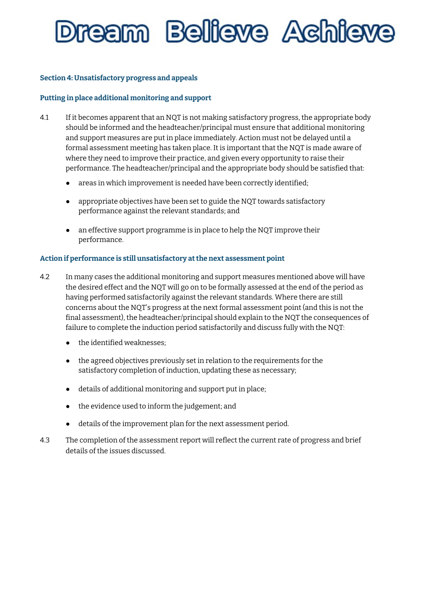# ream Belleve Achie

#### **Section 4: Unsatisfactory progress and appeals**

#### **Putting in place additional monitoring and support**

- 4.1 If it becomes apparent that an NQT is not making satisfactory progress, the appropriate body should be informed and the headteacher/principal must ensure that additional monitoring and support measures are put in place immediately. Action must not be delayed until a formal assessment meeting has taken place. It is important that the NQT is made aware of where they need to improve their practice, and given every opportunity to raise their performance. The headteacher/principal and the appropriate body should be satisfied that:
	- areas in which improvement is needed have been correctly identified;
	- appropriate objectives have been set to guide the NQT towards satisfactory performance against the relevant standards; and
	- an effective support programme is in place to help the NQT improve their performance.

#### **Action if performance is still unsatisfactory atthe next assessment point**

- 4.2 In many cases the additional monitoring and support measures mentioned above will have the desired effect and the NQT will go on to be formally assessed at the end of the period as having performed satisfactorily against the relevant standards. Where there are still concerns about the NQT's progress at the next formal assessment point (and this is not the final assessment), the headteacher/principal should explain to the NQT the consequences of failure to complete the induction period satisfactorily and discuss fully with the NQT:
	- the identified weaknesses;
	- the agreed objectives previously set in relation to the requirements for the satisfactory completion of induction, updating these as necessary;
	- details of additional monitoring and support put in place;
	- the evidence used to inform the judgement; and
	- details of the improvement plan for the next assessment period.
- 4.3 The completion of the assessment report will reflect the current rate of progress and brief details of the issues discussed.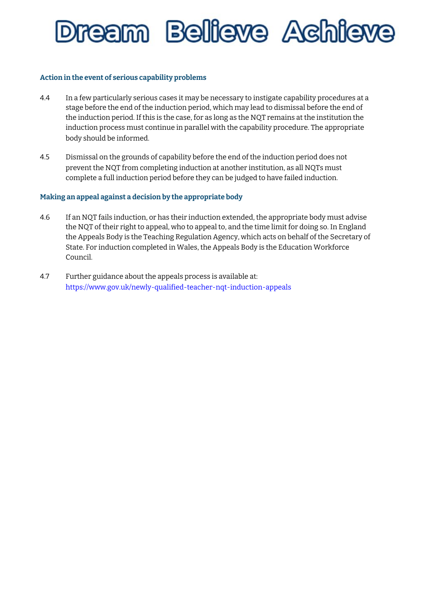

#### **Action in the event of serious capability problems**

- 4.4 In a few particularly serious cases it may be necessary to instigate capability procedures at a stage before the end of the induction period, which may lead to dismissal before the end of the induction period. If this is the case, for as long as the NQT remains at the institution the induction process must continue in parallel with the capability procedure. The appropriate body should be informed.
- 4.5 Dismissal on the grounds of capability before the end of the induction period does not prevent the NQT from completing induction at another institution, as all NQTs must complete a full induction period before they can be judged to have failed induction.

#### **Making an appeal against a decision by the appropriate body**

- 4.6 If an NQT fails induction, or has their induction extended, the appropriate body must advise the NQT of their right to appeal, who to appeal to, and the time limit for doing so. In England the Appeals Body is the Teaching Regulation Agency, which acts on behalf of the Secretary of State. For induction completed in Wales, the Appeals Body is the Education Workforce Council.
- 4.7 Further guidance about the appeals process is available at: https:[//ww](http://www.gov.uk/newly-qualified-teacher-nqt-induction-appeals)w[.gov.uk/newly-qualified-teacher-nqt-induction-appeals](http://www.gov.uk/newly-qualified-teacher-nqt-induction-appeals)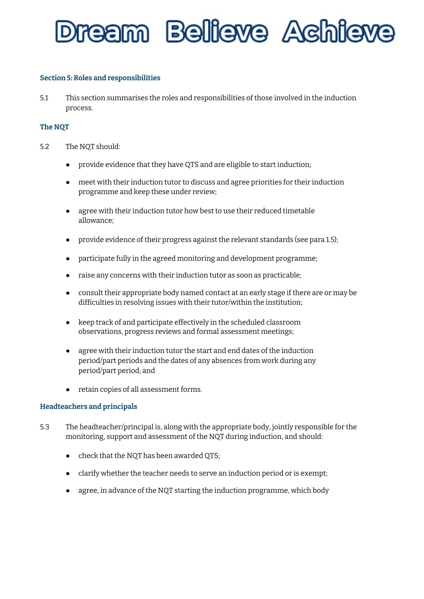

#### **Section 5: Roles and responsibilities**

5.1 This section summarises the roles and responsibilities of those involved in the induction process.

#### **The NQT**

- 5.2 The NQT should:
	- provide evidence that they have QTS and are eligible to start induction;
	- meet with their induction tutor to discuss and agree priorities for their induction programme and keep these under review;
	- agree with their induction tutor how best to use their reduced timetable allowance;
	- provide evidence of their progress against the relevant standards (see para 1.5);
	- participate fully in the agreed monitoring and development programme;
	- raise any concerns with their induction tutor as soon as practicable;
	- consult their appropriate body named contact at an early stage if there are or may be difficulties in resolving issues with their tutor/within the institution;
	- keep track of and participate effectively in the scheduled classroom observations, progress reviews and formal assessment meetings;
	- agree with their induction tutor the start and end dates of the induction period/part periods and the dates of any absences from work during any period/part period; and
	- retain copies of all assessment forms.

#### **Headteachers and principals**

- 5.3 The headteacher/principal is, along with the appropriate body, jointly responsible for the monitoring, support and assessment of the NQT during induction, and should:
	- check that the NQT has been awarded QTS;
	- clarify whether the teacher needs to serve an induction period or is exempt;
	- agree, in advance of the NQT starting the induction programme, which body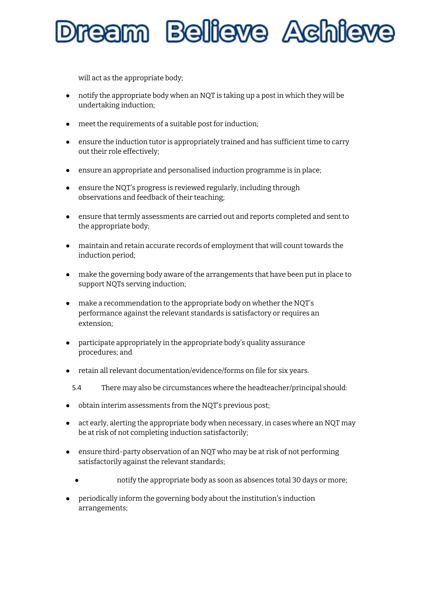### eam Bellieve Achi

will act as the appropriate body;

- notify the appropriate body when an NQT is taking up a post in which they will be undertaking induction;
- meet the requirements of a suitable post for induction;
- ensure the induction tutor is appropriately trained and has sufficient time to carry out their role effectively;
- ensure an appropriate and personalised induction programme is in place;
- ensure the NQT's progress is reviewed regularly, including through observations and feedback of their teaching;
- ensure that termly assessments are carried out and reports completed and sent to the appropriate body;
- maintain and retain accurate records of employment that will count towards the induction period;
- make the governing body aware of the arrangements that have been put in place to support NQTs serving induction;
- make a recommendation to the appropriate body on whether the NQT's performance against the relevant standards is satisfactory or requires an extension;
- participate appropriately in the appropriate body's quality assurance procedures; and
- retain all relevant documentation/evidence/forms on file for six years.
- 5.4 There may also be circumstances where the headteacher/principal should:
- obtain interim assessments from the NQT's previous post;
- act early, alerting the appropriate body when necessary, in cases where an NQT may be at risk of not completing induction satisfactorily;
- ensure third-party observation of an NQT who may be at risk of not performing satisfactorily against the relevant standards;
	- notify the appropriate body as soon as absences total 30 days or more;
- periodically inform the governing body about the institution's induction arrangements;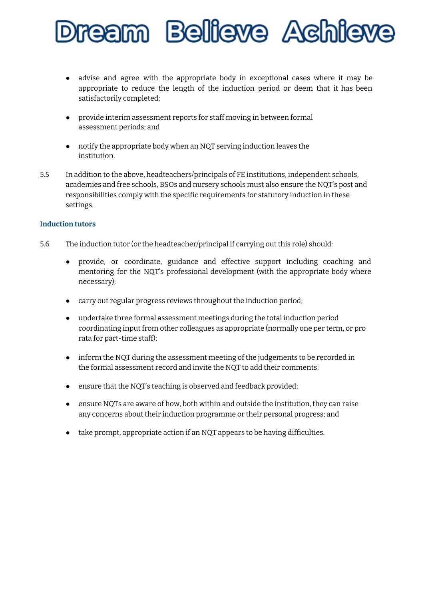

- advise and agree with the appropriate body in exceptional cases where it may be appropriate to reduce the length of the induction period or deem that it has been satisfactorily completed;
- provide interim assessment reports for staff moving in between formal assessment periods; and
- notify the appropriate body when an NQT serving induction leaves the institution.
- 5.5 In addition to the above, headteachers/principals of FE institutions, independent schools, academies and free schools, BSOs and nursery schools must also ensure the NQT's post and responsibilities comply with the specific requirements for statutory induction in these settings.

#### **Induction tutors**

- 5.6 The induction tutor (or the headteacher/principal if carrying out this role) should:
	- provide, or coordinate, guidance and effective support including coaching and mentoring for the NQT's professional development (with the appropriate body where necessary);
	- carry out regular progress reviews throughout the induction period;
	- undertake three formal assessment meetings during the total induction period coordinating input from other colleagues as appropriate (normally one per term, or pro rata for part-time staff);
	- inform the NQT during the assessment meeting of the judgements to be recorded in the formal assessment record and invite the NQT to add their comments;
	- ensure that the NQT's teaching is observed and feedback provided;
	- ensure NQTs are aware of how, both within and outside the institution, they can raise any concerns about their induction programme or their personal progress; and
	- take prompt, appropriate action if an NQT appears to be having difficulties.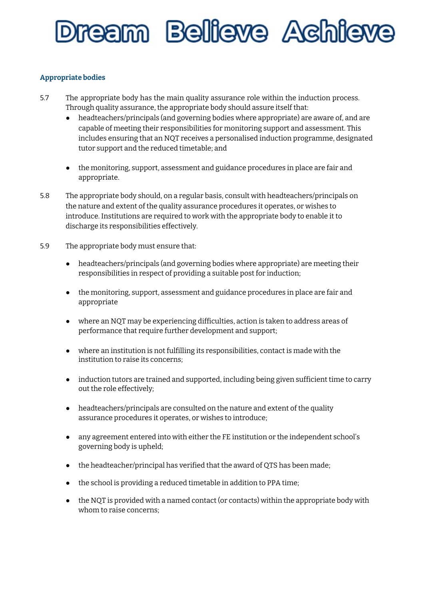## 'eam Bellieve Achie

#### **Appropriate bodies**

- 5.7 The appropriate body has the main quality assurance role within the induction process. Through quality assurance, the appropriate body should assure itself that:
	- headteachers/principals (and governing bodies where appropriate) are aware of, and are capable of meeting their responsibilities for monitoring support and assessment. This includes ensuring that an NQT receives a personalised induction programme, designated tutor support and the reduced timetable; and
	- the monitoring, support, assessment and guidance procedures in place are fair and appropriate.
- 5.8 The appropriate body should, on a regular basis, consult with headteachers/principals on the nature and extent of the quality assurance procedures it operates, or wishes to introduce. Institutions are required to work with the appropriate body to enable it to discharge its responsibilities effectively.
- 5.9 The appropriate body must ensure that:
	- headteachers/principals (and governing bodies where appropriate) are meeting their responsibilities in respect of providing a suitable post for induction;
	- the monitoring, support, assessment and guidance procedures in place are fair and appropriate
	- where an NQT may be experiencing difficulties, action is taken to address areas of performance that require further development and support;
	- where an institution is not fulfilling its responsibilities, contact is made with the institution to raise its concerns;
	- induction tutors are trained and supported, including being given sufficient time to carry out the role effectively;
	- headteachers/principals are consulted on the nature and extent of the quality assurance procedures it operates, or wishes to introduce;
	- any agreement entered into with either the FE institution or the independent school's governing body is upheld;
	- the headteacher/principal has verified that the award of QTS has been made;
	- the school is providing a reduced timetable in addition to PPA time;
	- the NQT is provided with a named contact (or contacts) within the appropriate body with whom to raise concerns;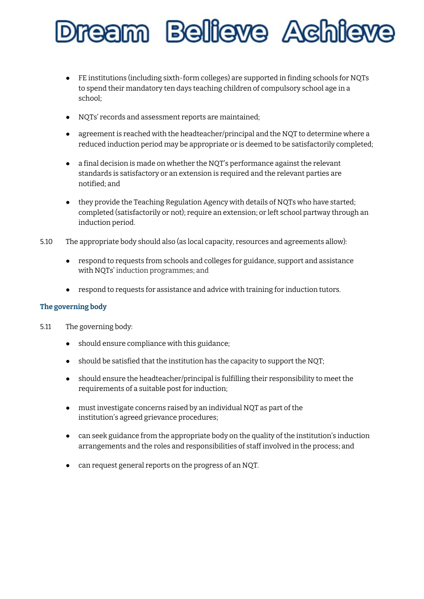### eam Bellieve Achie

- FE institutions (including sixth-form colleges) are supported in finding schools for NQTs to spend their mandatory ten days teaching children of compulsory school age in a school;
- NQTs' records and assessment reports are maintained;
- agreement is reached with the headteacher/principal and the NQT to determine where a reduced induction period may be appropriate or is deemed to be satisfactorily completed;
- a final decision is made on whether the NQT's performance against the relevant standards is satisfactory or an extension is required and the relevant parties are notified; and
- they provide the Teaching Regulation Agency with details of NQTs who have started; completed (satisfactorily or not); require an extension; or left school partway through an induction period.
- 5.10 The appropriate body should also (as local capacity, resources and agreements allow):
	- respond to requests from schools and colleges for guidance, support and assistance with NQTs' induction programmes; and
	- respond to requests for assistance and advice with training for induction tutors.

#### **The governing body**

- 5.11 The governing body:
	- should ensure compliance with this guidance;
	- should be satisfied that the institution has the capacity to support the NQT;
	- should ensure the headteacher/principal is fulfilling their responsibility to meet the requirements of a suitable post for induction;
	- must investigate concerns raised by an individual NQT as part of the institution's agreed grievance procedures;
	- can seek guidance from the appropriate body on the quality of the institution's induction arrangements and the roles and responsibilities of staff involved in the process; and
	- can request general reports on the progress of an NQT.